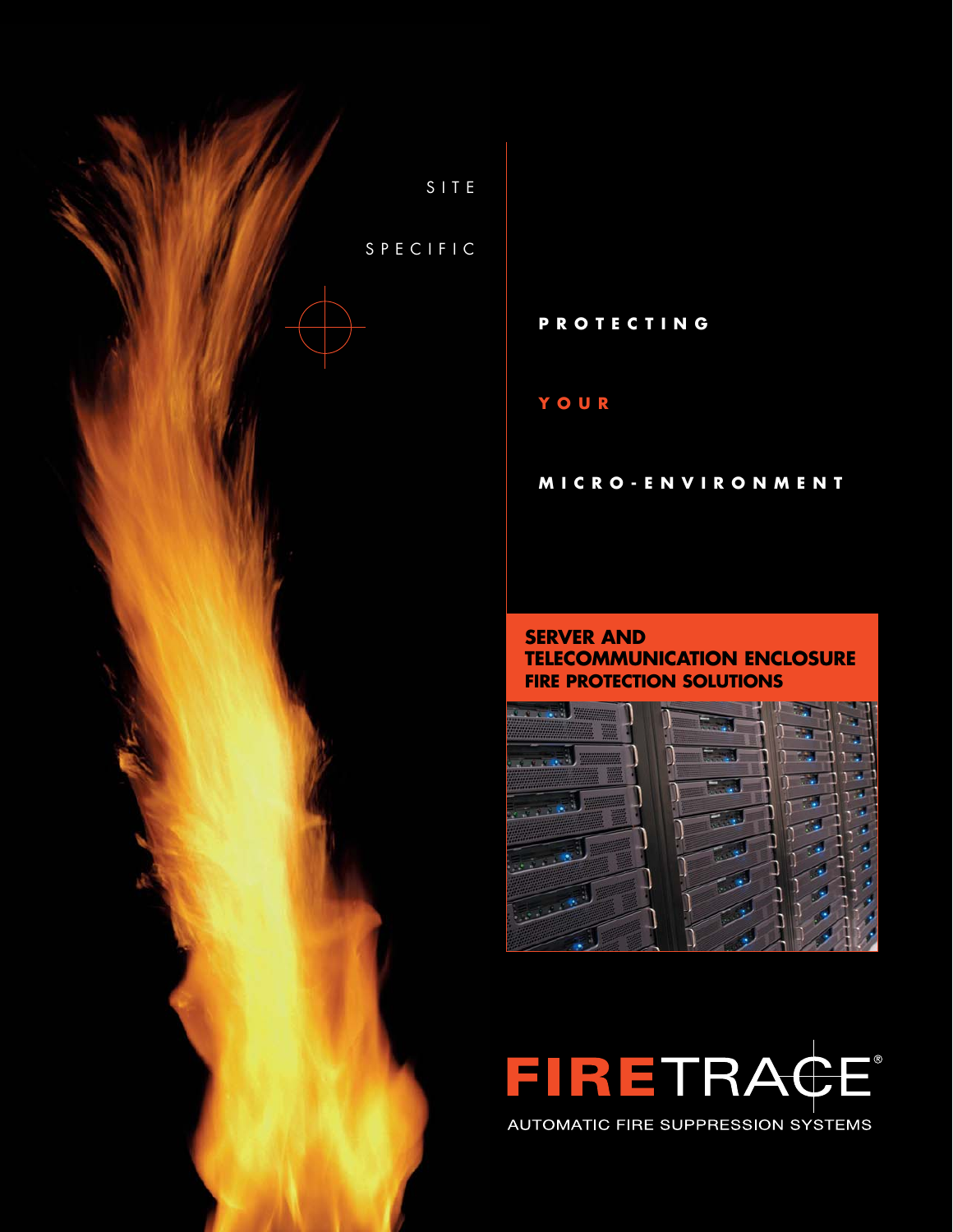

### **PROTECTING**

### **YOUR**

#### **MICRO-ENVIRONMENT**

### **SERVER AND TELECOMMUNICATION ENCLOSURE FIRE PROTECTION SOLUTIONS**



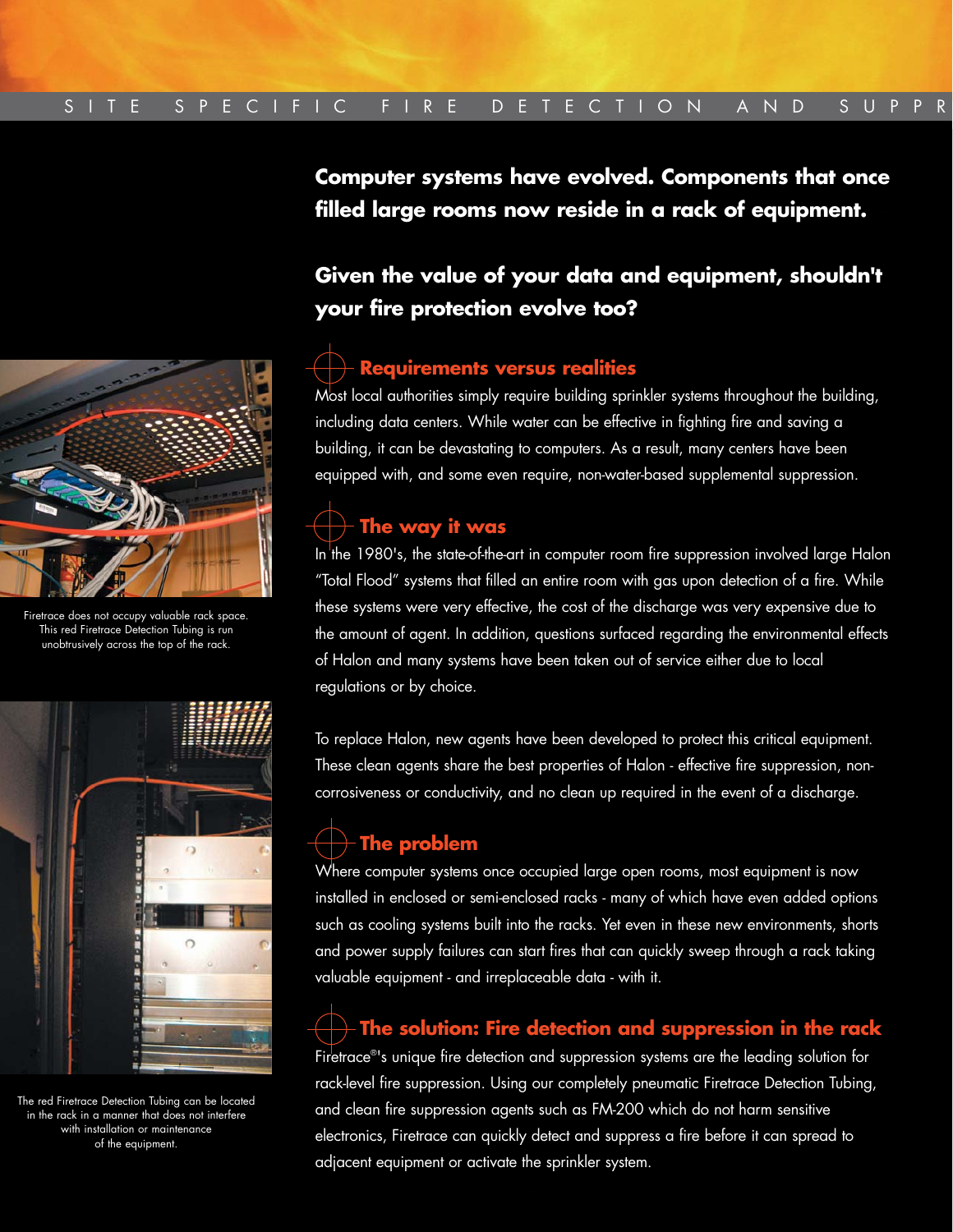

Firetrace does not occupy valuable rack space. This red Firetrace Detection Tubing is run unobtrusively across the top of the rack.



The red Firetrace Detection Tubing can be located in the rack in a manner that does not interfere with installation or maintenance of the equipment.

**Computer systems have evolved. Components that once filled large rooms now reside in a rack of equipment.**

## **Given the value of your data and equipment, shouldn't your fire protection evolve too?**

## **Requirements versus realities**

Most local authorities simply require building sprinkler systems throughout the building, including data centers. While water can be effective in fighting fire and saving a building, it can be devastating to computers. As a result, many centers have been equipped with, and some even require, non-water-based supplemental suppression.

# **The way it was**

In the 1980's, the state-of-the-art in computer room fire suppression involved large Halon "Total Flood" systems that filled an entire room with gas upon detection of a fire. While these systems were very effective, the cost of the discharge was very expensive due to the amount of agent. In addition, questions surfaced regarding the environmental effects of Halon and many systems have been taken out of service either due to local regulations or by choice.

To replace Halon, new agents have been developed to protect this critical equipment. These clean agents share the best properties of Halon - effective fire suppression, noncorrosiveness or conductivity, and no clean up required in the event of a discharge.

# **The problem**

Where computer systems once occupied large open rooms, most equipment is now installed in enclosed or semi-enclosed racks - many of which have even added options such as cooling systems built into the racks. Yet even in these new environments, shorts and power supply failures can start fires that can quickly sweep through a rack taking valuable equipment - and irreplaceable data - with it.

## **The solution: Fire detection and suppression in the rack**

Firetrace®'s unique fire detection and suppression systems are the leading solution for rack-level fire suppression. Using our completely pneumatic Firetrace Detection Tubing, and clean fire suppression agents such as FM-200 which do not harm sensitive electronics, Firetrace can quickly detect and suppress a fire before it can spread to adjacent equipment or activate the sprinkler system.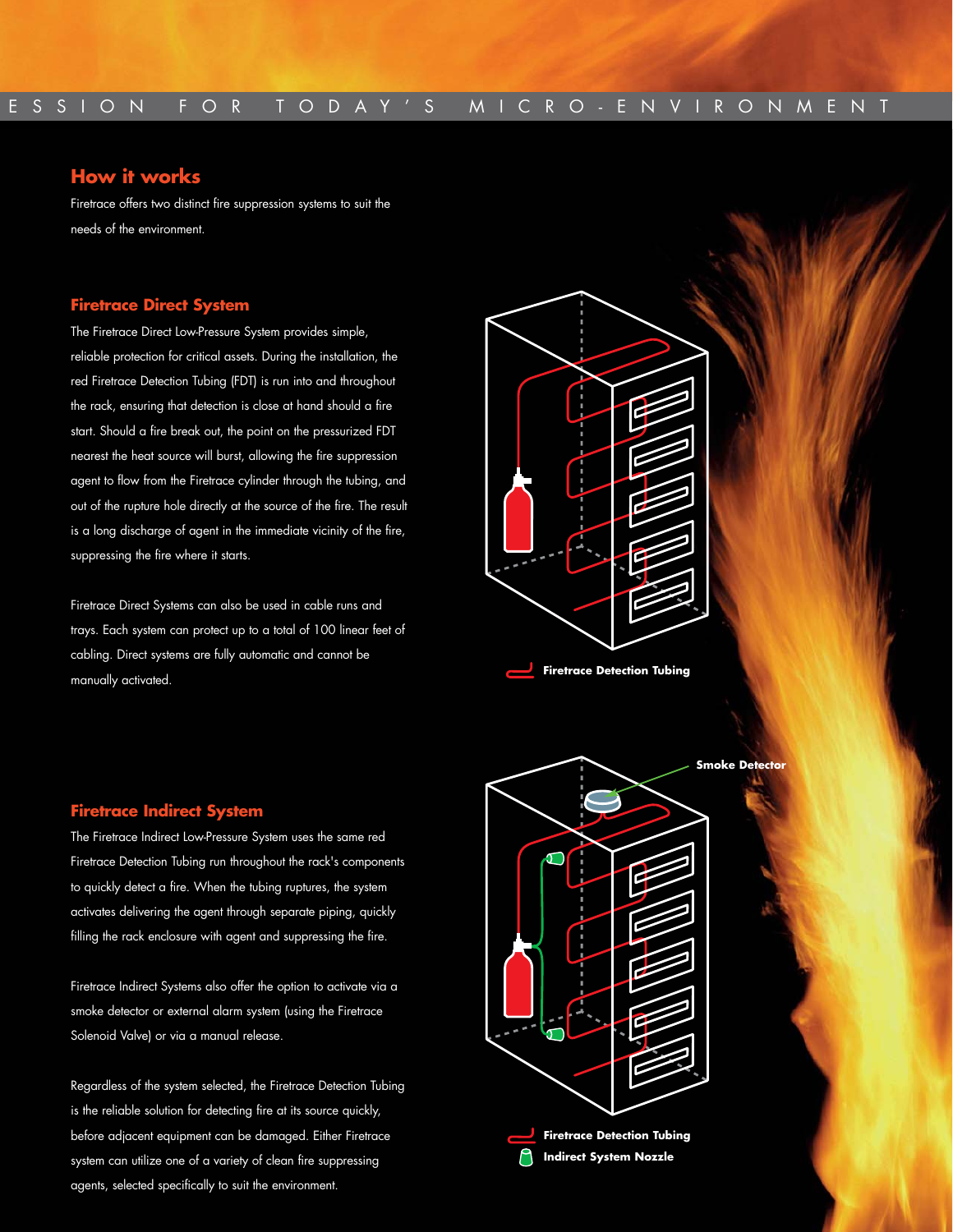### **How it works**

Firetrace offers two distinct fire suppression systems to suit the needs of the environment.

#### **Firetrace Direct System**

The Firetrace Direct Low-Pressure System provides simple, reliable protection for critical assets. During the installation, the red Firetrace Detection Tubing (FDT) is run into and throughout the rack, ensuring that detection is close at hand should a fire start. Should a fire break out, the point on the pressurized FDT nearest the heat source will burst, allowing the fire suppression agent to flow from the Firetrace cylinder through the tubing, and out of the rupture hole directly at the source of the fire. The result is a long discharge of agent in the immediate vicinity of the fire, suppressing the fire where it starts.

Firetrace Direct Systems can also be used in cable runs and trays. Each system can protect up to a total of 100 linear feet of cabling. Direct systems are fully automatic and cannot be manually activated.



### **Firetrace Indirect System**

The Firetrace Indirect Low-Pressure System uses the same red Firetrace Detection Tubing run throughout the rack's components to quickly detect a fire. When the tubing ruptures, the system activates delivering the agent through separate piping, quickly filling the rack enclosure with agent and suppressing the fire.

Firetrace Indirect Systems also offer the option to activate via a smoke detector or external alarm system (using the Firetrace Solenoid Valve) or via a manual release.

Regardless of the system selected, the Firetrace Detection Tubing is the reliable solution for detecting fire at its source quickly, before adjacent equipment can be damaged. Either Firetrace system can utilize one of a variety of clean fire suppressing agents, selected specifically to suit the environment.